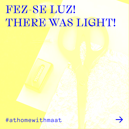# FEZ-SE DUZ! THERE WAS LIGHT!

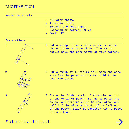### LIGHT SWITCH

Needed materials

- A4 Paper sheet, —
- Aluminium foil, —
- Scissor and duct tape,
- Rectangular battery (9 V), —
- Small LED.

#### Instructions



1. Cut a strip of paper with scissors across the width of a paper sheet. That strip should have the same width as your battery.

2. Cut a strip of aluminium foil with the same size (as the paper strip) and fold it in half two times.



3. Place the folded strip of aluminium on top of the strip of paper. It has to be in the center and perpendicular to each other and half (of the alumninuim strip) is left out of the paper. Stick it together with a piece of duct tape.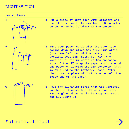### LIGHT SWITCH

#### Instructions



- 5.
- 6.

4. Cut a piece of duct tape with scissors and use it to connect the smallest LED conector to the negative terminal of the battery.

- 5. Take your paper strip with the duct tape facing down and place the aluminium strip (that was left out of the paper) in a vertical position facing up. With the vertical aluminium strip on the opposite side of the LED wrap the paper strip around the baterry, leaving the LED conector, that isn't glued to the battery, loose. After that, use a piece of duct tape to hold the loose end of the paper.
- 6. Fold the aluminium strip that was vertical so that it touches the LED conector that wasn't glued down to the battery and watch the LED light up.